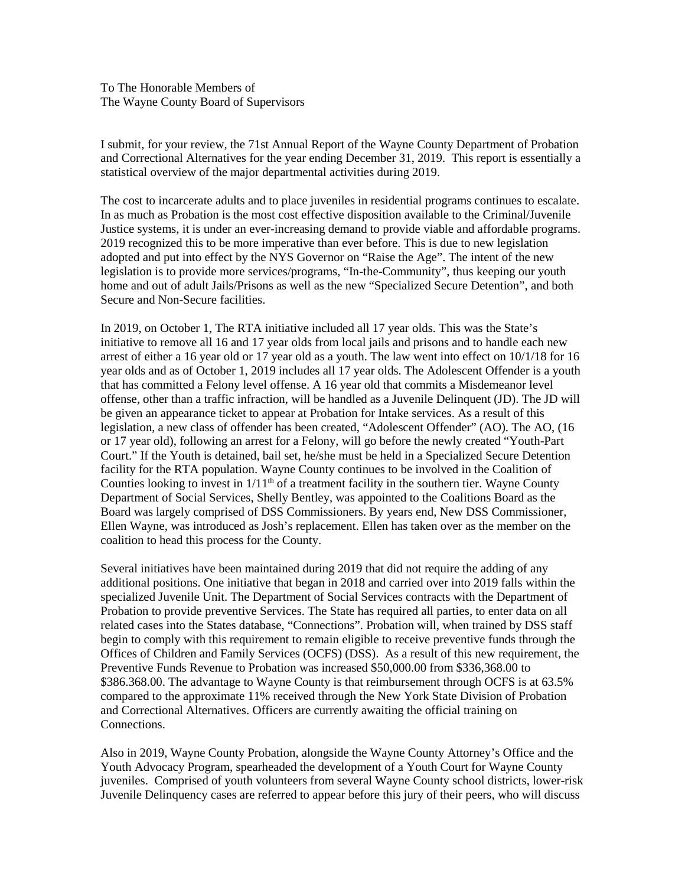To The Honorable Members of The Wayne County Board of Supervisors

I submit, for your review, the 71st Annual Report of the Wayne County Department of Probation and Correctional Alternatives for the year ending December 31, 2019. This report is essentially a statistical overview of the major departmental activities during 2019.

The cost to incarcerate adults and to place juveniles in residential programs continues to escalate. In as much as Probation is the most cost effective disposition available to the Criminal/Juvenile Justice systems, it is under an ever-increasing demand to provide viable and affordable programs. 2019 recognized this to be more imperative than ever before. This is due to new legislation adopted and put into effect by the NYS Governor on "Raise the Age". The intent of the new legislation is to provide more services/programs, "In-the-Community", thus keeping our youth home and out of adult Jails/Prisons as well as the new "Specialized Secure Detention", and both Secure and Non-Secure facilities.

In 2019, on October 1, The RTA initiative included all 17 year olds. This was the State's initiative to remove all 16 and 17 year olds from local jails and prisons and to handle each new arrest of either a 16 year old or 17 year old as a youth. The law went into effect on 10/1/18 for 16 year olds and as of October 1, 2019 includes all 17 year olds. The Adolescent Offender is a youth that has committed a Felony level offense. A 16 year old that commits a Misdemeanor level offense, other than a traffic infraction, will be handled as a Juvenile Delinquent (JD). The JD will be given an appearance ticket to appear at Probation for Intake services. As a result of this legislation, a new class of offender has been created, "Adolescent Offender" (AO). The AO, (16 or 17 year old), following an arrest for a Felony, will go before the newly created "Youth-Part Court." If the Youth is detained, bail set, he/she must be held in a Specialized Secure Detention facility for the RTA population. Wayne County continues to be involved in the Coalition of Counties looking to invest in  $1/11<sup>th</sup>$  of a treatment facility in the southern tier. Wayne County Department of Social Services, Shelly Bentley, was appointed to the Coalitions Board as the Board was largely comprised of DSS Commissioners. By years end, New DSS Commissioner, Ellen Wayne, was introduced as Josh's replacement. Ellen has taken over as the member on the coalition to head this process for the County.

Several initiatives have been maintained during 2019 that did not require the adding of any additional positions. One initiative that began in 2018 and carried over into 2019 falls within the specialized Juvenile Unit. The Department of Social Services contracts with the Department of Probation to provide preventive Services. The State has required all parties, to enter data on all related cases into the States database, "Connections". Probation will, when trained by DSS staff begin to comply with this requirement to remain eligible to receive preventive funds through the Offices of Children and Family Services (OCFS) (DSS). As a result of this new requirement, the Preventive Funds Revenue to Probation was increased \$50,000.00 from \$336,368.00 to \$386.368.00. The advantage to Wayne County is that reimbursement through OCFS is at 63.5% compared to the approximate 11% received through the New York State Division of Probation and Correctional Alternatives. Officers are currently awaiting the official training on Connections.

Also in 2019, Wayne County Probation, alongside the Wayne County Attorney's Office and the Youth Advocacy Program, spearheaded the development of a Youth Court for Wayne County juveniles. Comprised of youth volunteers from several Wayne County school districts, lower-risk Juvenile Delinquency cases are referred to appear before this jury of their peers, who will discuss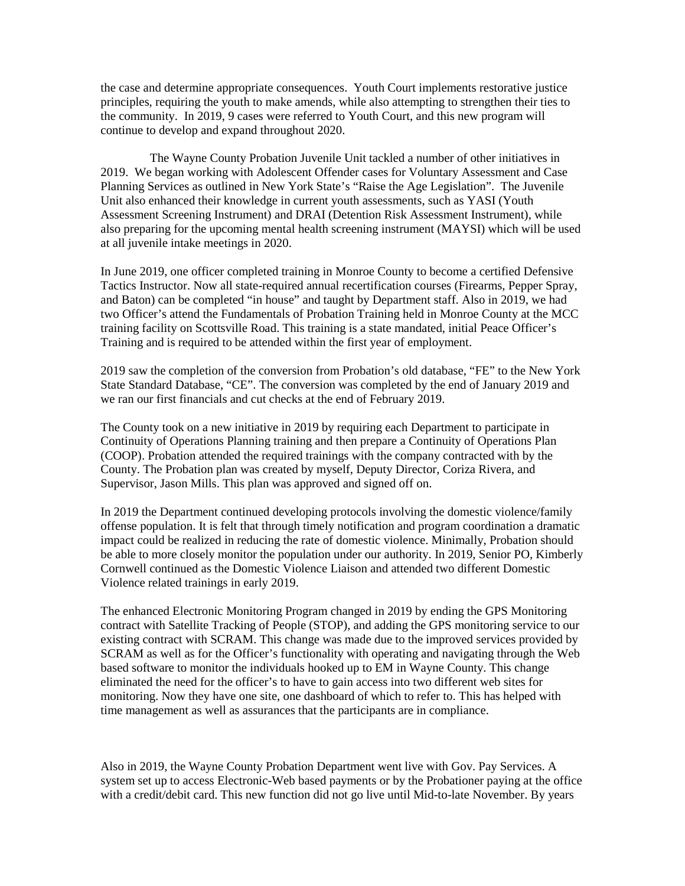the case and determine appropriate consequences. Youth Court implements restorative justice principles, requiring the youth to make amends, while also attempting to strengthen their ties to the community. In 2019, 9 cases were referred to Youth Court, and this new program will continue to develop and expand throughout 2020.

 The Wayne County Probation Juvenile Unit tackled a number of other initiatives in 2019. We began working with Adolescent Offender cases for Voluntary Assessment and Case Planning Services as outlined in New York State's "Raise the Age Legislation". The Juvenile Unit also enhanced their knowledge in current youth assessments, such as YASI (Youth Assessment Screening Instrument) and DRAI (Detention Risk Assessment Instrument), while also preparing for the upcoming mental health screening instrument (MAYSI) which will be used at all juvenile intake meetings in 2020.

In June 2019, one officer completed training in Monroe County to become a certified Defensive Tactics Instructor. Now all state-required annual recertification courses (Firearms, Pepper Spray, and Baton) can be completed "in house" and taught by Department staff. Also in 2019, we had two Officer's attend the Fundamentals of Probation Training held in Monroe County at the MCC training facility on Scottsville Road. This training is a state mandated, initial Peace Officer's Training and is required to be attended within the first year of employment.

2019 saw the completion of the conversion from Probation's old database, "FE" to the New York State Standard Database, "CE". The conversion was completed by the end of January 2019 and we ran our first financials and cut checks at the end of February 2019.

The County took on a new initiative in 2019 by requiring each Department to participate in Continuity of Operations Planning training and then prepare a Continuity of Operations Plan (COOP). Probation attended the required trainings with the company contracted with by the County. The Probation plan was created by myself, Deputy Director, Coriza Rivera, and Supervisor, Jason Mills. This plan was approved and signed off on.

In 2019 the Department continued developing protocols involving the domestic violence/family offense population. It is felt that through timely notification and program coordination a dramatic impact could be realized in reducing the rate of domestic violence. Minimally, Probation should be able to more closely monitor the population under our authority. In 2019, Senior PO, Kimberly Cornwell continued as the Domestic Violence Liaison and attended two different Domestic Violence related trainings in early 2019.

The enhanced Electronic Monitoring Program changed in 2019 by ending the GPS Monitoring contract with Satellite Tracking of People (STOP), and adding the GPS monitoring service to our existing contract with SCRAM. This change was made due to the improved services provided by SCRAM as well as for the Officer's functionality with operating and navigating through the Web based software to monitor the individuals hooked up to EM in Wayne County. This change eliminated the need for the officer's to have to gain access into two different web sites for monitoring. Now they have one site, one dashboard of which to refer to. This has helped with time management as well as assurances that the participants are in compliance.

Also in 2019, the Wayne County Probation Department went live with Gov. Pay Services. A system set up to access Electronic-Web based payments or by the Probationer paying at the office with a credit/debit card. This new function did not go live until Mid-to-late November. By years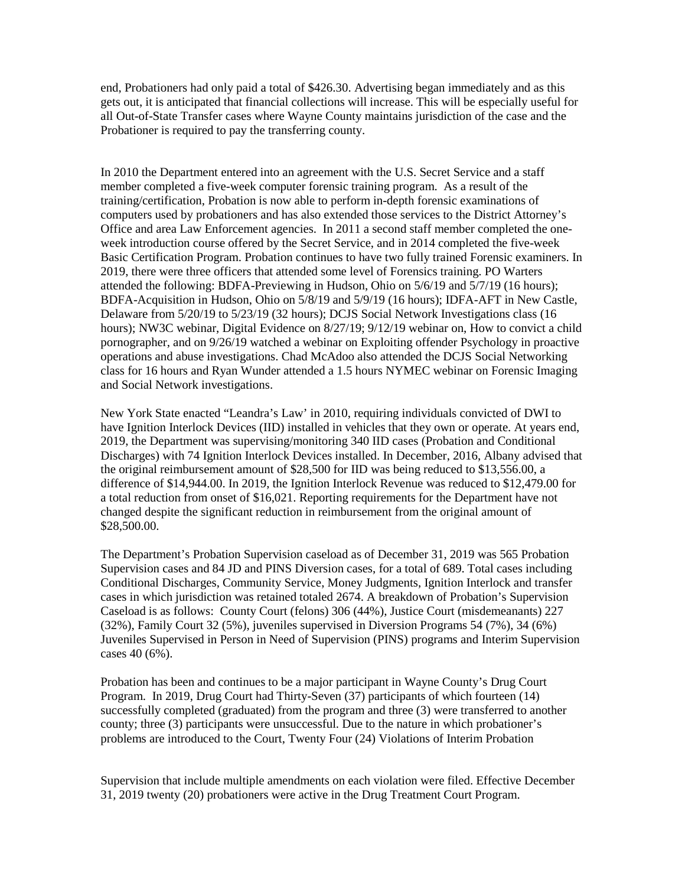end, Probationers had only paid a total of \$426.30. Advertising began immediately and as this gets out, it is anticipated that financial collections will increase. This will be especially useful for all Out-of-State Transfer cases where Wayne County maintains jurisdiction of the case and the Probationer is required to pay the transferring county.

In 2010 the Department entered into an agreement with the U.S. Secret Service and a staff member completed a five-week computer forensic training program. As a result of the training/certification, Probation is now able to perform in-depth forensic examinations of computers used by probationers and has also extended those services to the District Attorney's Office and area Law Enforcement agencies. In 2011 a second staff member completed the oneweek introduction course offered by the Secret Service, and in 2014 completed the five-week Basic Certification Program. Probation continues to have two fully trained Forensic examiners. In 2019, there were three officers that attended some level of Forensics training. PO Warters attended the following: BDFA-Previewing in Hudson, Ohio on 5/6/19 and 5/7/19 (16 hours); BDFA-Acquisition in Hudson, Ohio on 5/8/19 and 5/9/19 (16 hours); IDFA-AFT in New Castle, Delaware from 5/20/19 to 5/23/19 (32 hours); DCJS Social Network Investigations class (16 hours); NW3C webinar, Digital Evidence on 8/27/19; 9/12/19 webinar on, How to convict a child pornographer, and on 9/26/19 watched a webinar on Exploiting offender Psychology in proactive operations and abuse investigations. Chad McAdoo also attended the DCJS Social Networking class for 16 hours and Ryan Wunder attended a 1.5 hours NYMEC webinar on Forensic Imaging and Social Network investigations.

New York State enacted "Leandra's Law' in 2010, requiring individuals convicted of DWI to have Ignition Interlock Devices (IID) installed in vehicles that they own or operate. At years end, 2019, the Department was supervising/monitoring 340 IID cases (Probation and Conditional Discharges) with 74 Ignition Interlock Devices installed. In December, 2016, Albany advised that the original reimbursement amount of \$28,500 for IID was being reduced to \$13,556.00, a difference of \$14,944.00. In 2019, the Ignition Interlock Revenue was reduced to \$12,479.00 for a total reduction from onset of \$16,021. Reporting requirements for the Department have not changed despite the significant reduction in reimbursement from the original amount of \$28,500.00.

The Department's Probation Supervision caseload as of December 31, 2019 was 565 Probation Supervision cases and 84 JD and PINS Diversion cases, for a total of 689. Total cases including Conditional Discharges, Community Service, Money Judgments, Ignition Interlock and transfer cases in which jurisdiction was retained totaled 2674. A breakdown of Probation's Supervision Caseload is as follows: County Court (felons) 306 (44%), Justice Court (misdemeanants) 227 (32%), Family Court 32 (5%), juveniles supervised in Diversion Programs 54 (7%), 34 (6%) Juveniles Supervised in Person in Need of Supervision (PINS) programs and Interim Supervision cases 40 (6%).

Probation has been and continues to be a major participant in Wayne County's Drug Court Program. In 2019, Drug Court had Thirty-Seven (37) participants of which fourteen (14) successfully completed (graduated) from the program and three (3) were transferred to another county; three (3) participants were unsuccessful. Due to the nature in which probationer's problems are introduced to the Court, Twenty Four (24) Violations of Interim Probation

Supervision that include multiple amendments on each violation were filed. Effective December 31, 2019 twenty (20) probationers were active in the Drug Treatment Court Program.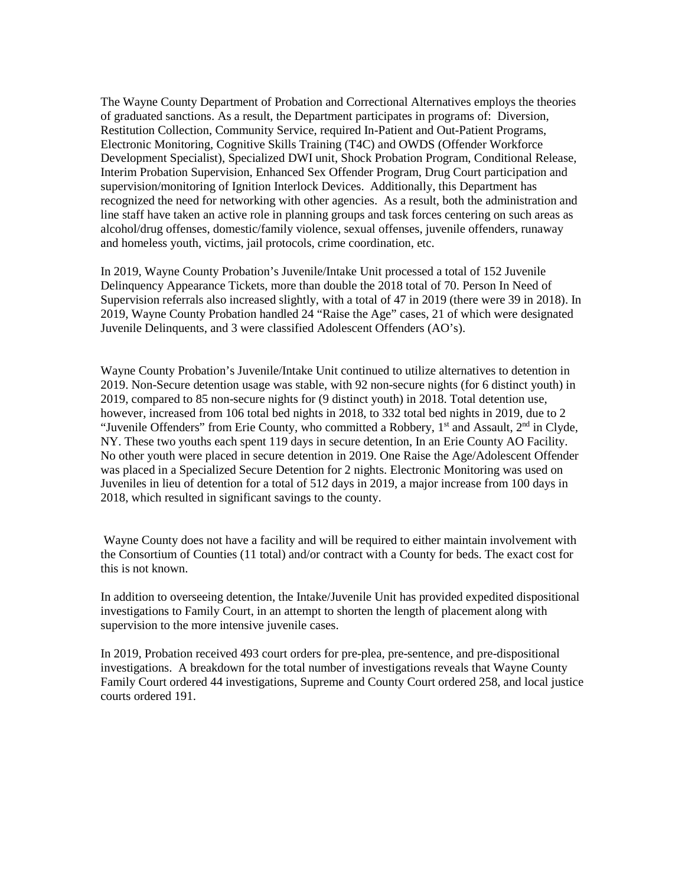The Wayne County Department of Probation and Correctional Alternatives employs the theories of graduated sanctions. As a result, the Department participates in programs of: Diversion, Restitution Collection, Community Service, required In-Patient and Out-Patient Programs, Electronic Monitoring, Cognitive Skills Training (T4C) and OWDS (Offender Workforce Development Specialist), Specialized DWI unit, Shock Probation Program, Conditional Release, Interim Probation Supervision, Enhanced Sex Offender Program, Drug Court participation and supervision/monitoring of Ignition Interlock Devices. Additionally, this Department has recognized the need for networking with other agencies. As a result, both the administration and line staff have taken an active role in planning groups and task forces centering on such areas as alcohol/drug offenses, domestic/family violence, sexual offenses, juvenile offenders, runaway and homeless youth, victims, jail protocols, crime coordination, etc.

In 2019, Wayne County Probation's Juvenile/Intake Unit processed a total of 152 Juvenile Delinquency Appearance Tickets, more than double the 2018 total of 70. Person In Need of Supervision referrals also increased slightly, with a total of 47 in 2019 (there were 39 in 2018). In 2019, Wayne County Probation handled 24 "Raise the Age" cases, 21 of which were designated Juvenile Delinquents, and 3 were classified Adolescent Offenders (AO's).

Wayne County Probation's Juvenile/Intake Unit continued to utilize alternatives to detention in 2019. Non-Secure detention usage was stable, with 92 non-secure nights (for 6 distinct youth) in 2019, compared to 85 non-secure nights for (9 distinct youth) in 2018. Total detention use, however, increased from 106 total bed nights in 2018, to 332 total bed nights in 2019, due to 2 "Juvenile Offenders" from Erie County, who committed a Robbery, 1<sup>st</sup> and Assault, 2<sup>nd</sup> in Clyde, NY. These two youths each spent 119 days in secure detention, In an Erie County AO Facility. No other youth were placed in secure detention in 2019. One Raise the Age/Adolescent Offender was placed in a Specialized Secure Detention for 2 nights. Electronic Monitoring was used on Juveniles in lieu of detention for a total of 512 days in 2019, a major increase from 100 days in 2018, which resulted in significant savings to the county.

Wayne County does not have a facility and will be required to either maintain involvement with the Consortium of Counties (11 total) and/or contract with a County for beds. The exact cost for this is not known.

In addition to overseeing detention, the Intake/Juvenile Unit has provided expedited dispositional investigations to Family Court, in an attempt to shorten the length of placement along with supervision to the more intensive juvenile cases.

In 2019, Probation received 493 court orders for pre-plea, pre-sentence, and pre-dispositional investigations. A breakdown for the total number of investigations reveals that Wayne County Family Court ordered 44 investigations, Supreme and County Court ordered 258, and local justice courts ordered 191.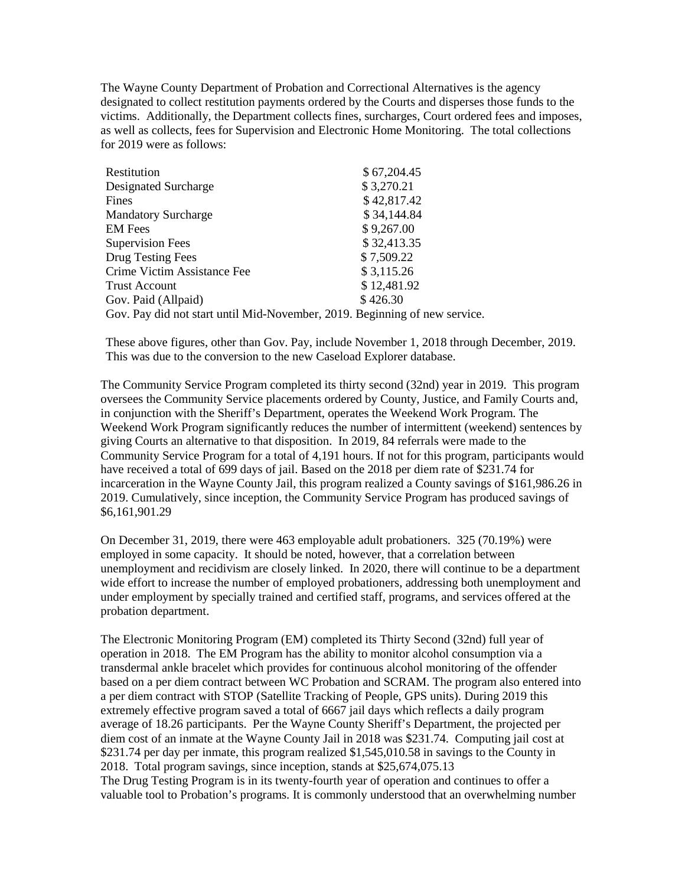The Wayne County Department of Probation and Correctional Alternatives is the agency designated to collect restitution payments ordered by the Courts and disperses those funds to the victims. Additionally, the Department collects fines, surcharges, Court ordered fees and imposes, as well as collects, fees for Supervision and Electronic Home Monitoring. The total collections for 2019 were as follows:

| Restitution                                                                | \$67,204.45 |
|----------------------------------------------------------------------------|-------------|
| Designated Surcharge                                                       | \$3,270.21  |
| Fines                                                                      | \$42,817.42 |
| <b>Mandatory Surcharge</b>                                                 | \$34,144.84 |
| <b>EM</b> Fees                                                             | \$9,267.00  |
| <b>Supervision Fees</b>                                                    | \$32,413.35 |
| Drug Testing Fees                                                          | \$7,509.22  |
| Crime Victim Assistance Fee                                                | \$3,115.26  |
| <b>Trust Account</b>                                                       | \$12,481.92 |
| Gov. Paid (Allpaid)                                                        | \$426.30    |
| Gov. Pay did not start until Mid-November, 2019. Beginning of new service. |             |

These above figures, other than Gov. Pay, include November 1, 2018 through December, 2019. This was due to the conversion to the new Caseload Explorer database.

The Community Service Program completed its thirty second (32nd) year in 2019. This program oversees the Community Service placements ordered by County, Justice, and Family Courts and, in conjunction with the Sheriff's Department, operates the Weekend Work Program. The Weekend Work Program significantly reduces the number of intermittent (weekend) sentences by giving Courts an alternative to that disposition. In 2019, 84 referrals were made to the Community Service Program for a total of 4,191 hours. If not for this program, participants would have received a total of 699 days of jail. Based on the 2018 per diem rate of \$231.74 for incarceration in the Wayne County Jail, this program realized a County savings of \$161,986.26 in 2019. Cumulatively, since inception, the Community Service Program has produced savings of \$6,161,901.29

On December 31, 2019, there were 463 employable adult probationers. 325 (70.19%) were employed in some capacity. It should be noted, however, that a correlation between unemployment and recidivism are closely linked. In 2020, there will continue to be a department wide effort to increase the number of employed probationers, addressing both unemployment and under employment by specially trained and certified staff, programs, and services offered at the probation department.

The Electronic Monitoring Program (EM) completed its Thirty Second (32nd) full year of operation in 2018. The EM Program has the ability to monitor alcohol consumption via a transdermal ankle bracelet which provides for continuous alcohol monitoring of the offender based on a per diem contract between WC Probation and SCRAM. The program also entered into a per diem contract with STOP (Satellite Tracking of People, GPS units). During 2019 this extremely effective program saved a total of 6667 jail days which reflects a daily program average of 18.26 participants. Per the Wayne County Sheriff's Department, the projected per diem cost of an inmate at the Wayne County Jail in 2018 was \$231.74. Computing jail cost at \$231.74 per day per inmate, this program realized \$1,545,010.58 in savings to the County in 2018. Total program savings, since inception, stands at \$25,674,075.13

The Drug Testing Program is in its twenty-fourth year of operation and continues to offer a valuable tool to Probation's programs. It is commonly understood that an overwhelming number